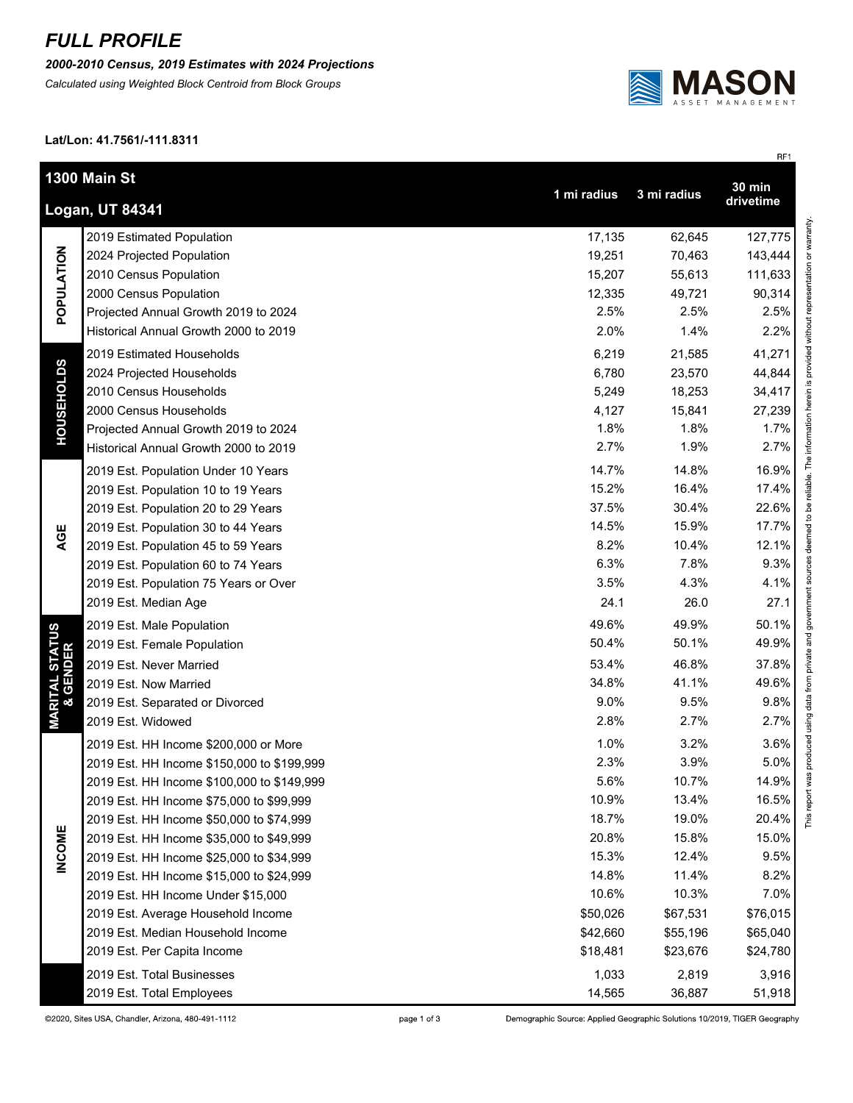## *FULL PROFILE*

*2000-2010 Census, 2019 Estimates with 2024 Projections*

*Calculated using Weighted Block Centroid from Block Groups*



RF1

## **Lat/Lon: 41.7561/-111.8311**

| 1300 Main St<br>$30 \text{ min}$                           |                                            |          |          |          |  |  |
|------------------------------------------------------------|--------------------------------------------|----------|----------|----------|--|--|
| 1 mi radius<br>3 mi radius<br>drivetime<br>Logan, UT 84341 |                                            |          |          |          |  |  |
| POPULATION                                                 | 2019 Estimated Population                  | 17,135   | 62,645   | 127,775  |  |  |
|                                                            | 2024 Projected Population                  | 19,251   | 70,463   | 143,444  |  |  |
|                                                            | 2010 Census Population                     | 15,207   | 55,613   | 111,633  |  |  |
|                                                            | 2000 Census Population                     | 12,335   | 49,721   | 90,314   |  |  |
|                                                            | Projected Annual Growth 2019 to 2024       | 2.5%     | 2.5%     | 2.5%     |  |  |
|                                                            | Historical Annual Growth 2000 to 2019      | 2.0%     | 1.4%     | 2.2%     |  |  |
| <b>HOUSEHOLDS</b>                                          | 2019 Estimated Households                  | 6,219    | 21,585   | 41,271   |  |  |
|                                                            | 2024 Projected Households                  | 6,780    | 23,570   | 44,844   |  |  |
|                                                            | 2010 Census Households                     | 5,249    | 18,253   | 34,417   |  |  |
|                                                            | 2000 Census Households                     | 4,127    | 15,841   | 27,239   |  |  |
|                                                            | Projected Annual Growth 2019 to 2024       | 1.8%     | 1.8%     | 1.7%     |  |  |
|                                                            | Historical Annual Growth 2000 to 2019      | 2.7%     | 1.9%     | 2.7%     |  |  |
|                                                            | 2019 Est. Population Under 10 Years        | 14.7%    | 14.8%    | 16.9%    |  |  |
|                                                            | 2019 Est. Population 10 to 19 Years        | 15.2%    | 16.4%    | 17.4%    |  |  |
|                                                            | 2019 Est. Population 20 to 29 Years        | 37.5%    | 30.4%    | 22.6%    |  |  |
| AGE                                                        | 2019 Est. Population 30 to 44 Years        | 14.5%    | 15.9%    | 17.7%    |  |  |
|                                                            | 2019 Est. Population 45 to 59 Years        | 8.2%     | 10.4%    | 12.1%    |  |  |
|                                                            | 2019 Est. Population 60 to 74 Years        | 6.3%     | 7.8%     | 9.3%     |  |  |
|                                                            | 2019 Est. Population 75 Years or Over      | 3.5%     | 4.3%     | 4.1%     |  |  |
|                                                            | 2019 Est. Median Age                       | 24.1     | 26.0     | 27.1     |  |  |
|                                                            | 2019 Est. Male Population                  | 49.6%    | 49.9%    | 50.1%    |  |  |
| <b>MARITAL STATUS<br/>&amp; GENDER</b>                     | 2019 Est. Female Population                | 50.4%    | 50.1%    | 49.9%    |  |  |
|                                                            | 2019 Est. Never Married                    | 53.4%    | 46.8%    | 37.8%    |  |  |
|                                                            | 2019 Est. Now Married                      | 34.8%    | 41.1%    | 49.6%    |  |  |
|                                                            | 2019 Est. Separated or Divorced            | 9.0%     | 9.5%     | 9.8%     |  |  |
|                                                            | 2019 Est. Widowed                          | 2.8%     | 2.7%     | 2.7%     |  |  |
|                                                            | 2019 Est. HH Income \$200,000 or More      | 1.0%     | 3.2%     | 3.6%     |  |  |
|                                                            | 2019 Est. HH Income \$150,000 to \$199,999 | 2.3%     | 3.9%     | 5.0%     |  |  |
|                                                            | 2019 Est. HH Income \$100,000 to \$149,999 | 5.6%     | 10.7%    | 14.9%    |  |  |
|                                                            | 2019 Est. HH Income \$75,000 to \$99,999   | 10.9%    | 13.4%    | 16.5%    |  |  |
|                                                            | 2019 Est. HH Income \$50,000 to \$74,999   | 18.7%    | 19.0%    | 20.4%    |  |  |
|                                                            | 2019 Est. HH Income \$35,000 to \$49,999   | 20.8%    | 15.8%    | 15.0%    |  |  |
| <b>INCOME</b>                                              | 2019 Est. HH Income \$25,000 to \$34,999   | 15.3%    | 12.4%    | 9.5%     |  |  |
|                                                            | 2019 Est. HH Income \$15,000 to \$24,999   | 14.8%    | 11.4%    | 8.2%     |  |  |
|                                                            | 2019 Est. HH Income Under \$15,000         | 10.6%    | 10.3%    | 7.0%     |  |  |
|                                                            | 2019 Est. Average Household Income         | \$50,026 | \$67,531 | \$76,015 |  |  |
|                                                            | 2019 Est. Median Household Income          | \$42,660 | \$55,196 | \$65,040 |  |  |
|                                                            | 2019 Est. Per Capita Income                | \$18,481 | \$23,676 | \$24,780 |  |  |
|                                                            | 2019 Est. Total Businesses                 | 1,033    | 2,819    | 3,916    |  |  |
|                                                            | 2019 Est. Total Employees                  | 14,565   | 36,887   | 51,918   |  |  |

page 1 of 3

Demographic Source: Applied Geographic Solutions 10/2019, TIGER Geography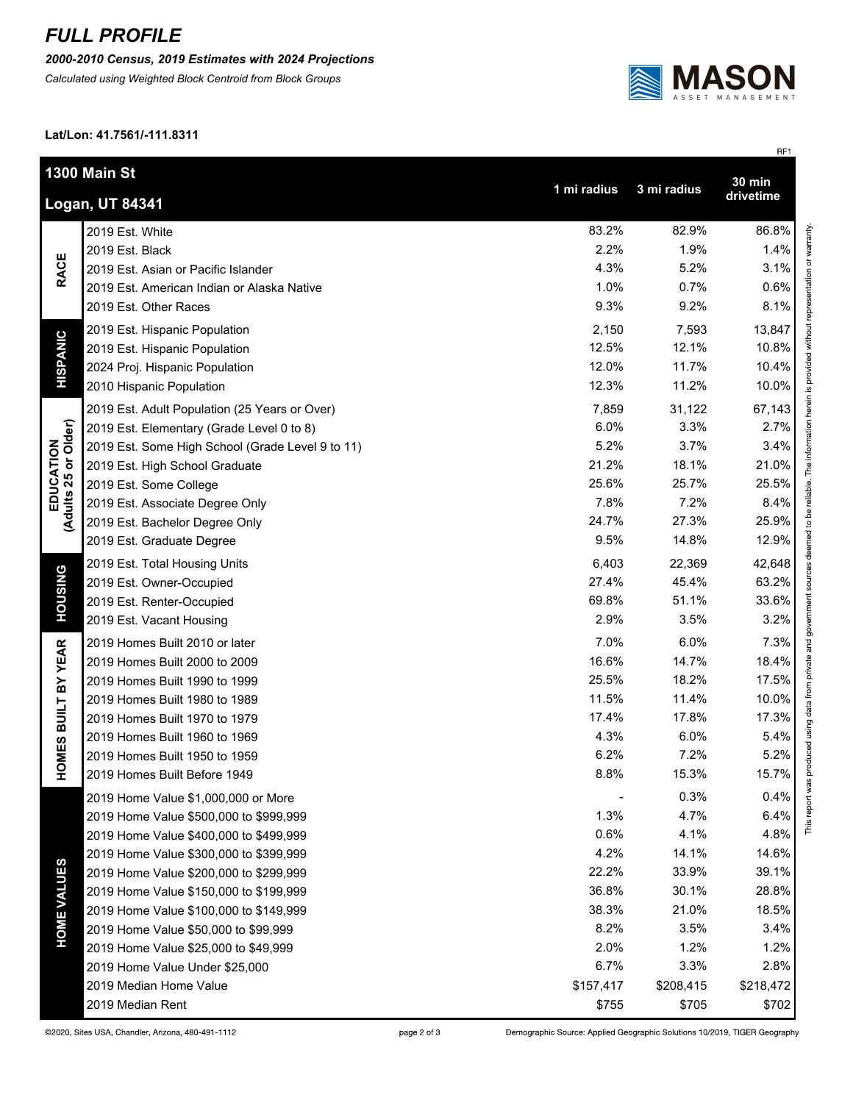## *FULL PROFILE*

*2000-2010 Census, 2019 Estimates with 2024 Projections*

*Calculated using Weighted Block Centroid from Block Groups*



**Lat/Lon: 41.7561/-111.8311**

|                                   |                                                  |             |             | RF1           |
|-----------------------------------|--------------------------------------------------|-------------|-------------|---------------|
|                                   | 1300 Main St                                     |             |             | <b>30 min</b> |
|                                   |                                                  | 1 mi radius | 3 mi radius | drivetime     |
|                                   | Logan, UT 84341                                  |             |             |               |
| <b>RACE</b>                       | 2019 Est. White                                  | 83.2%       | 82.9%       | 86.8%         |
|                                   | 2019 Est. Black                                  | 2.2%        | 1.9%        | 1.4%          |
|                                   | 2019 Est. Asian or Pacific Islander              | 4.3%        | 5.2%        | 3.1%          |
|                                   | 2019 Est. American Indian or Alaska Native       | 1.0%        | 0.7%        | 0.6%          |
|                                   | 2019 Est. Other Races                            | 9.3%        | 9.2%        | 8.1%          |
| <b>HISPANIC</b>                   | 2019 Est. Hispanic Population                    | 2,150       | 7,593       | 13,847        |
|                                   | 2019 Est. Hispanic Population                    | 12.5%       | 12.1%       | 10.8%         |
|                                   | 2024 Proj. Hispanic Population                   | 12.0%       | 11.7%       | 10.4%         |
|                                   | 2010 Hispanic Population                         | 12.3%       | 11.2%       | 10.0%         |
|                                   | 2019 Est. Adult Population (25 Years or Over)    | 7,859       | 31,122      | 67,143        |
|                                   | 2019 Est. Elementary (Grade Level 0 to 8)        | 6.0%        | 3.3%        | 2.7%          |
| EDUCATION<br>(Adults 25 or Older) | 2019 Est. Some High School (Grade Level 9 to 11) | 5.2%        | 3.7%        | 3.4%          |
|                                   | 2019 Est. High School Graduate                   | 21.2%       | 18.1%       | 21.0%         |
|                                   | 2019 Est. Some College                           | 25.6%       | 25.7%       | 25.5%         |
|                                   | 2019 Est. Associate Degree Only                  | 7.8%        | 7.2%        | 8.4%          |
|                                   | 2019 Est. Bachelor Degree Only                   | 24.7%       | 27.3%       | 25.9%         |
|                                   | 2019 Est. Graduate Degree                        | 9.5%        | 14.8%       | 12.9%         |
|                                   | 2019 Est. Total Housing Units                    | 6,403       | 22,369      | 42,648        |
| <b>HOUSING</b>                    | 2019 Est. Owner-Occupied                         | 27.4%       | 45.4%       | 63.2%         |
|                                   | 2019 Est. Renter-Occupied                        | 69.8%       | 51.1%       | 33.6%         |
|                                   | 2019 Est. Vacant Housing                         | 2.9%        | 3.5%        | 3.2%          |
| BY YEAR                           | 2019 Homes Built 2010 or later                   | 7.0%        | 6.0%        | 7.3%          |
|                                   | 2019 Homes Built 2000 to 2009                    | 16.6%       | 14.7%       | 18.4%         |
|                                   | 2019 Homes Built 1990 to 1999                    | 25.5%       | 18.2%       | 17.5%         |
|                                   | 2019 Homes Built 1980 to 1989                    | 11.5%       | 11.4%       | 10.0%         |
|                                   | 2019 Homes Built 1970 to 1979                    | 17.4%       | 17.8%       | 17.3%         |
|                                   | 2019 Homes Built 1960 to 1969                    | 4.3%        | 6.0%        | 5.4%          |
| OMES BUILT                        | 2019 Homes Built 1950 to 1959                    | 6.2%        | 7.2%        | 5.2%          |
| I                                 | 2019 Homes Built Before 1949                     | 8.8%        | 15.3%       | 15.7%         |
|                                   | 2019 Home Value \$1,000,000 or More              |             | 0.3%        | $0.4\%$       |
| <b>HOME VALUES</b>                | 2019 Home Value \$500,000 to \$999,999           | 1.3%        | 4.7%        | 6.4%          |
|                                   | 2019 Home Value \$400,000 to \$499,999           | 0.6%        | 4.1%        | 4.8%          |
|                                   | 2019 Home Value \$300,000 to \$399,999           | 4.2%        | 14.1%       | 14.6%         |
|                                   | 2019 Home Value \$200,000 to \$299,999           | 22.2%       | 33.9%       | 39.1%         |
|                                   | 2019 Home Value \$150,000 to \$199,999           | 36.8%       | 30.1%       | 28.8%         |
|                                   | 2019 Home Value \$100,000 to \$149,999           | 38.3%       | 21.0%       | 18.5%         |
|                                   | 2019 Home Value \$50,000 to \$99,999             | 8.2%        | 3.5%        | 3.4%          |
|                                   | 2019 Home Value \$25,000 to \$49,999             | 2.0%        | 1.2%        | 1.2%          |
|                                   | 2019 Home Value Under \$25,000                   | 6.7%        | 3.3%        | 2.8%          |
|                                   | 2019 Median Home Value                           | \$157,417   | \$208,415   | \$218,472     |
|                                   | 2019 Median Rent                                 | \$755       | \$705       | \$702         |
|                                   |                                                  |             |             |               |

Demographic Source: Applied Geographic Solutions 10/2019, TIGER Geography